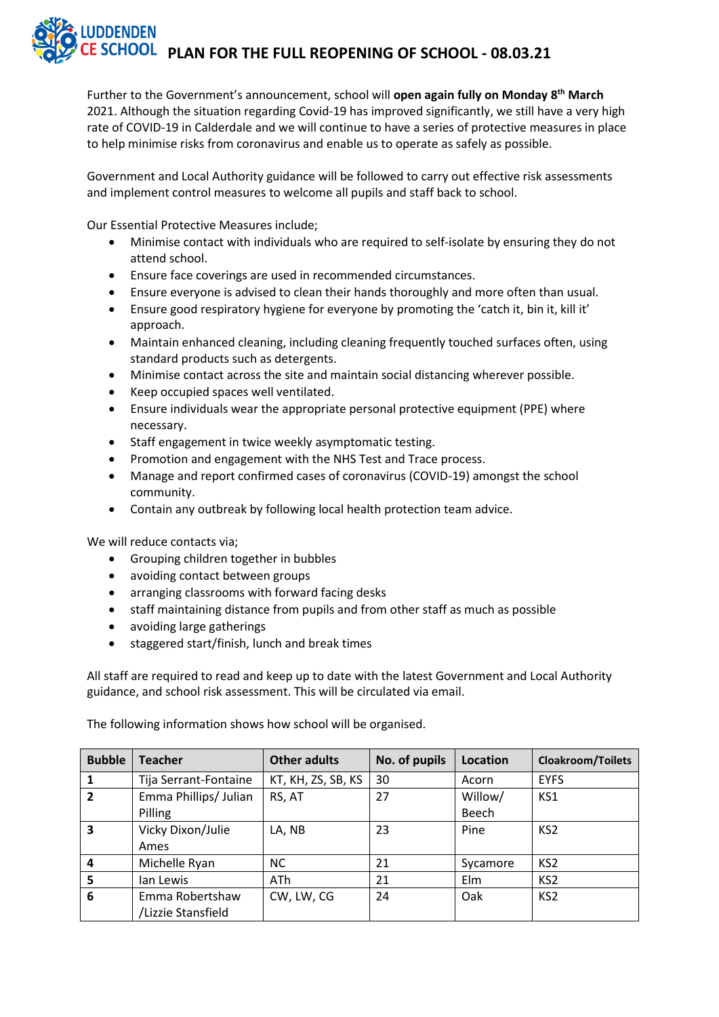### **IDDENDEN PLAN FOR THE FULL REOPENING OF SCHOOL - 08.03.21**

Further to the Government's announcement, school will **open again fully on Monday 8 th March** 2021. Although the situation regarding Covid-19 has improved significantly, we still have a very high rate of COVID-19 in Calderdale and we will continue to have a series of protective measures in place to help minimise risks from coronavirus and enable us to operate as safely as possible.

Government and Local Authority guidance will be followed to carry out effective risk assessments and implement control measures to welcome all pupils and staff back to school.

Our Essential Protective Measures include;

- Minimise contact with individuals who are required to self-isolate by ensuring they do not attend school.
- Ensure face coverings are used in recommended circumstances.
- Ensure everyone is advised to clean their hands thoroughly and more often than usual.
- Ensure good respiratory hygiene for everyone by promoting the 'catch it, bin it, kill it' approach.
- Maintain enhanced cleaning, including cleaning frequently touched surfaces often, using standard products such as detergents.
- Minimise contact across the site and maintain social distancing wherever possible.
- Keep occupied spaces well ventilated.
- Ensure individuals wear the appropriate personal protective equipment (PPE) where necessary.
- Staff engagement in twice weekly asymptomatic testing.
- Promotion and engagement with the NHS Test and Trace process.
- Manage and report confirmed cases of coronavirus (COVID-19) amongst the school community.
- Contain any outbreak by following local health protection team advice.

We will reduce contacts via;

- Grouping children together in bubbles
- avoiding contact between groups
- arranging classrooms with forward facing desks
- staff maintaining distance from pupils and from other staff as much as possible
- avoiding large gatherings
- staggered start/finish, lunch and break times

All staff are required to read and keep up to date with the latest Government and Local Authority guidance, and school risk assessment. This will be circulated via email.

The following information shows how school will be organised.

| <b>Bubble</b>           | <b>Teacher</b>        | <b>Other adults</b> | No. of pupils | Location | <b>Cloakroom/Toilets</b> |
|-------------------------|-----------------------|---------------------|---------------|----------|--------------------------|
| 1                       | Tija Serrant-Fontaine | KT, KH, ZS, SB, KS  | 30            | Acorn    | <b>EYFS</b>              |
| $\overline{2}$          | Emma Phillips/ Julian | RS, AT              | 27            | Willow/  | KS1                      |
|                         | Pilling               |                     |               | Beech    |                          |
| $\overline{\mathbf{3}}$ | Vicky Dixon/Julie     | LA, NB              | 23            | Pine     | KS <sub>2</sub>          |
|                         | Ames                  |                     |               |          |                          |
| $\overline{a}$          | Michelle Ryan         | <b>NC</b>           | 21            | Sycamore | KS <sub>2</sub>          |
| 5                       | lan Lewis             | ATh                 | 21            | Elm      | KS <sub>2</sub>          |
| 6                       | Emma Robertshaw       | CW, LW, CG          | 24            | Oak      | KS <sub>2</sub>          |
|                         | /Lizzie Stansfield    |                     |               |          |                          |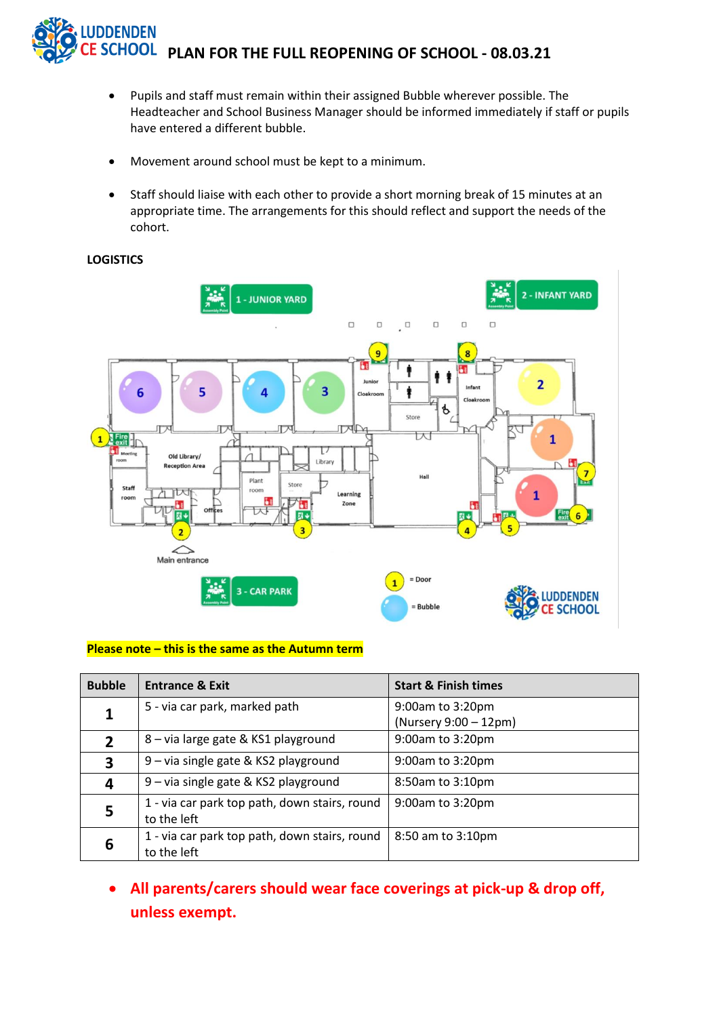

- Pupils and staff must remain within their assigned Bubble wherever possible. The Headteacher and School Business Manager should be informed immediately if staff or pupils have entered a different bubble.
- Movement around school must be kept to a minimum.
- Staff should liaise with each other to provide a short morning break of 15 minutes at an appropriate time. The arrangements for this should reflect and support the needs of the cohort.

#### **LOGISTICS**



#### **Please note – this is the same as the Autumn term**

| <b>Bubble</b> | <b>Entrance &amp; Exit</b>                                   | <b>Start &amp; Finish times</b>           |
|---------------|--------------------------------------------------------------|-------------------------------------------|
|               | 5 - via car park, marked path                                | 9:00am to 3:20pm<br>(Nursery 9:00 - 12pm) |
|               | 8 - via large gate & KS1 playground                          | 9:00am to 3:20pm                          |
| $\mathbf{3}$  | 9 – via single gate & KS2 playground                         | 9:00am to 3:20pm                          |
| 4             | 9 - via single gate & KS2 playground                         | 8:50am to 3:10pm                          |
| 5             | 1 - via car park top path, down stairs, round<br>to the left | 9:00am to 3:20pm                          |
| 6             | 1 - via car park top path, down stairs, round<br>to the left | 8:50 am to 3:10pm                         |

• **All parents/carers should wear face coverings at pick-up & drop off, unless exempt.**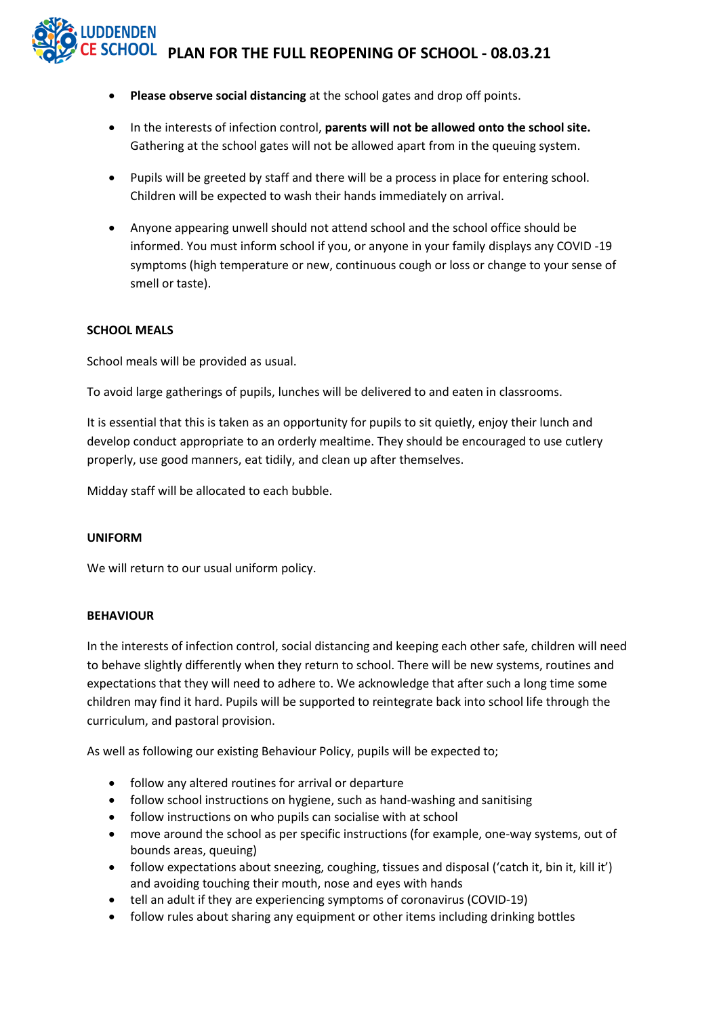## **PLAN FOR THE FULL REOPENING OF SCHOOL - 08.03.21**

- **Please observe social distancing** at the school gates and drop off points.
- In the interests of infection control, **parents will not be allowed onto the school site.** Gathering at the school gates will not be allowed apart from in the queuing system.
- Pupils will be greeted by staff and there will be a process in place for entering school. Children will be expected to wash their hands immediately on arrival.
- Anyone appearing unwell should not attend school and the school office should be informed. You must inform school if you, or anyone in your family displays any COVID -19 symptoms (high temperature or new, continuous cough or loss or change to your sense of smell or taste).

#### **SCHOOL MEALS**

School meals will be provided as usual.

To avoid large gatherings of pupils, lunches will be delivered to and eaten in classrooms.

It is essential that this is taken as an opportunity for pupils to sit quietly, enjoy their lunch and develop conduct appropriate to an orderly mealtime. They should be encouraged to use cutlery properly, use good manners, eat tidily, and clean up after themselves.

Midday staff will be allocated to each bubble.

#### **UNIFORM**

We will return to our usual uniform policy.

#### **BEHAVIOUR**

In the interests of infection control, social distancing and keeping each other safe, children will need to behave slightly differently when they return to school. There will be new systems, routines and expectations that they will need to adhere to. We acknowledge that after such a long time some children may find it hard. Pupils will be supported to reintegrate back into school life through the curriculum, and pastoral provision.

As well as following our existing Behaviour Policy, pupils will be expected to;

- follow any altered routines for arrival or departure
- follow school instructions on hygiene, such as hand-washing and sanitising
- follow instructions on who pupils can socialise with at school
- move around the school as per specific instructions (for example, one-way systems, out of bounds areas, queuing)
- follow expectations about sneezing, coughing, tissues and disposal ('catch it, bin it, kill it') and avoiding touching their mouth, nose and eyes with hands
- tell an adult if they are experiencing symptoms of coronavirus (COVID-19)
- follow rules about sharing any equipment or other items including drinking bottles